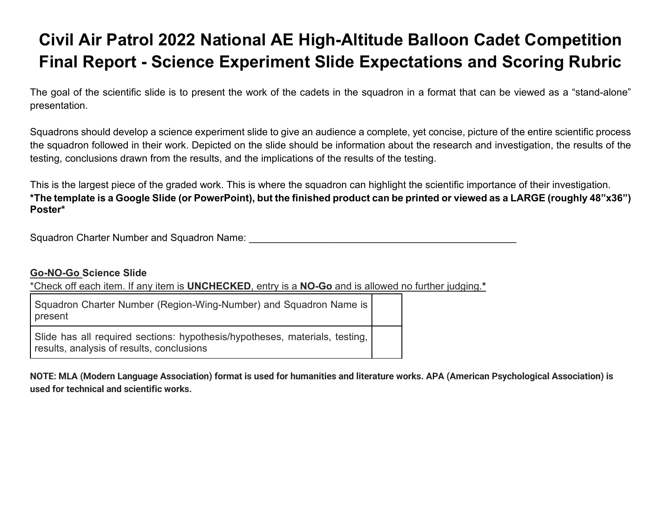## **Civil Air Patrol 2022 National AE High-Altitude Balloon Cadet Competition Final Report - Science Experiment Slide Expectations and Scoring Rubric**

The goal of the scientific slide is to present the work of the cadets in the squadron in a format that can be viewed as a "stand-alone" presentation.

Squadrons should develop a science experiment slide to give an audience a complete, yet concise, picture of the entire scientific process the squadron followed in their work. Depicted on the slide should be information about the research and investigation, the results of the testing, conclusions drawn from the results, and the implications of the results of the testing.

This is the largest piece of the graded work. This is where the squadron can highlight the scientific importance of their investigation. **\*The template is a Google Slide (or PowerPoint), but the finished product can be printed or viewed as a LARGE (roughly 48"x36") Poster\***

Squadron Charter Number and Squadron Name: **Example 2018** 

## **Go-NO-Go Science Slide**

\*Check off each item. If any item is **UNCHECKED**, entry is a **NO-Go** and is allowed no further judging.**\*** 

Squadron Charter Number (Region-Wing-Number) and Squadron Name is present

Slide has all required sections: hypothesis/hypotheses, materials, testing, results, analysis of results, conclusions

**NOTE: MLA (Modern Language Association) format is used for humanities and literature works. APA (American Psychological Association) is used for technical and scientific works.**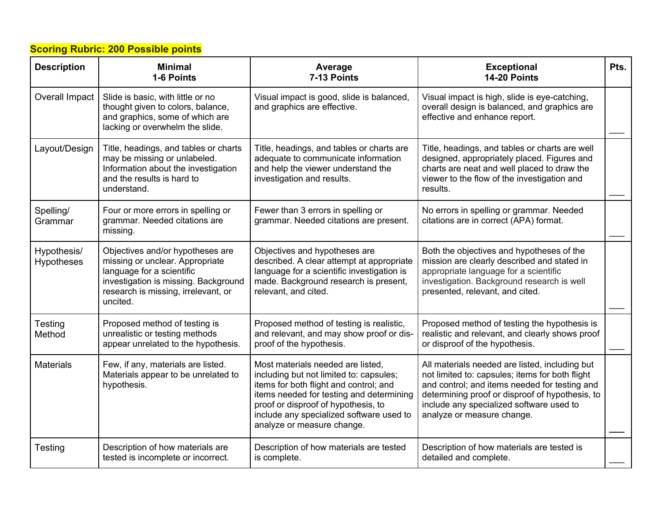## **Scoring Rubric: 200 Possible points**

| <b>Description</b>               | <b>Minimal</b><br>1-6 Points                                                                                                                                                                | Average<br>7-13 Points                                                                                                                                                                                                                                                              | <b>Exceptional</b><br>14-20 Points                                                                                                                                                                                                                                              | Pts. |
|----------------------------------|---------------------------------------------------------------------------------------------------------------------------------------------------------------------------------------------|-------------------------------------------------------------------------------------------------------------------------------------------------------------------------------------------------------------------------------------------------------------------------------------|---------------------------------------------------------------------------------------------------------------------------------------------------------------------------------------------------------------------------------------------------------------------------------|------|
| <b>Overall Impact</b>            | Slide is basic, with little or no<br>thought given to colors, balance,<br>and graphics, some of which are<br>lacking or overwhelm the slide.                                                | Visual impact is good, slide is balanced,<br>and graphics are effective.                                                                                                                                                                                                            | Visual impact is high, slide is eye-catching,<br>overall design is balanced, and graphics are<br>effective and enhance report.                                                                                                                                                  |      |
| Layout/Design                    | Title, headings, and tables or charts<br>may be missing or unlabeled.<br>Information about the investigation<br>and the results is hard to<br>understand.                                   | Title, headings, and tables or charts are<br>adequate to communicate information<br>and help the viewer understand the<br>investigation and results.                                                                                                                                | Title, headings, and tables or charts are well<br>designed, appropriately placed. Figures and<br>charts are neat and well placed to draw the<br>viewer to the flow of the investigation and<br>results.                                                                         |      |
| Spelling/<br>Grammar             | Four or more errors in spelling or<br>grammar. Needed citations are<br>missing.                                                                                                             | Fewer than 3 errors in spelling or<br>grammar. Needed citations are present.                                                                                                                                                                                                        | No errors in spelling or grammar. Needed<br>citations are in correct (APA) format.                                                                                                                                                                                              |      |
| Hypothesis/<br><b>Hypotheses</b> | Objectives and/or hypotheses are<br>missing or unclear. Appropriate<br>language for a scientific<br>investigation is missing. Background<br>research is missing, irrelevant, or<br>uncited. | Objectives and hypotheses are<br>described. A clear attempt at appropriate<br>language for a scientific investigation is<br>made. Background research is present,<br>relevant, and cited.                                                                                           | Both the objectives and hypotheses of the<br>mission are clearly described and stated in<br>appropriate language for a scientific<br>investigation. Background research is well<br>presented, relevant, and cited.                                                              |      |
| Testing<br>Method                | Proposed method of testing is<br>unrealistic or testing methods<br>appear unrelated to the hypothesis.                                                                                      | Proposed method of testing is realistic,<br>and relevant, and may show proof or dis-<br>proof of the hypothesis.                                                                                                                                                                    | Proposed method of testing the hypothesis is<br>realistic and relevant, and clearly shows proof<br>or disproof of the hypothesis.                                                                                                                                               |      |
| <b>Materials</b>                 | Few, if any, materials are listed.<br>Materials appear to be unrelated to<br>hypothesis.                                                                                                    | Most materials needed are listed,<br>including but not limited to: capsules;<br>items for both flight and control; and<br>items needed for testing and determining<br>proof or disproof of hypothesis, to<br>include any specialized software used to<br>analyze or measure change. | All materials needed are listed, including but<br>not limited to: capsules; items for both flight<br>and control; and items needed for testing and<br>determining proof or disproof of hypothesis, to<br>include any specialized software used to<br>analyze or measure change. |      |
| Testing                          | Description of how materials are<br>tested is incomplete or incorrect.                                                                                                                      | Description of how materials are tested<br>is complete.                                                                                                                                                                                                                             | Description of how materials are tested is<br>detailed and complete.                                                                                                                                                                                                            |      |